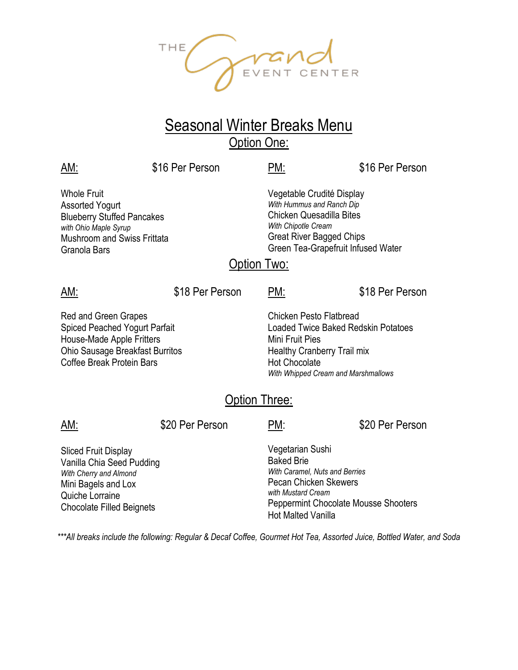OPTEVENT CENTER  $THE$ 

## Seasonal Winter Breaks Menu Option One:

| AM:                                                                                                                                                              | \$16 Per Person | PM:                                     | \$16 Per Person                                                                                                                                                                           |  |  |
|------------------------------------------------------------------------------------------------------------------------------------------------------------------|-----------------|-----------------------------------------|-------------------------------------------------------------------------------------------------------------------------------------------------------------------------------------------|--|--|
| Whole Fruit<br>Assorted Yogurt<br><b>Blueberry Stuffed Pancakes</b><br>with Ohio Maple Syrup<br><b>Mushroom and Swiss Frittata</b><br>Granola Bars               |                 | Option Two:                             | Vegetable Crudité Display<br>With Hummus and Ranch Dip<br><b>Chicken Quesadilla Bites</b><br>With Chipotle Cream<br><b>Great River Bagged Chips</b><br>Green Tea-Grapefruit Infused Water |  |  |
| AM:                                                                                                                                                              | \$18 Per Person | PM:                                     | \$18 Per Person                                                                                                                                                                           |  |  |
| Red and Green Grapes<br><b>Spiced Peached Yogurt Parfait</b><br>House-Made Apple Fritters<br><b>Ohio Sausage Breakfast Burritos</b><br>Coffee Break Protein Bars |                 | Mini Fruit Pies<br><b>Option Three:</b> | <b>Chicken Pesto Flatbread</b><br>Loaded Twice Baked Redskin Potatoes<br>Healthy Cranberry Trail mix<br><b>Hot Chocolate</b><br>With Whipped Cream and Marshmallows                       |  |  |
| AM:                                                                                                                                                              | \$20 Per Person | PM:                                     | \$20 Per Person                                                                                                                                                                           |  |  |
| <b>Sliced Fruit Display</b><br>Vanilla Chia Seed Pudding<br>With Cherry and Almond<br>Mini Bagels and Lox<br>Quiche Lorraine<br><b>Chocolate Filled Beignets</b> |                 | <b>Baked Brie</b>                       | Vegetarian Sushi<br>With Caramel, Nuts and Berries<br><b>Pecan Chicken Skewers</b><br>with Mustard Cream<br>Peppermint Chocolate Mousse Shooters<br>Hot Malted Vanilla                    |  |  |

*\*\*\*All breaks include the following: Regular & Decaf Coffee, Gourmet Hot Tea, Assorted Juice, Bottled Water, and Soda*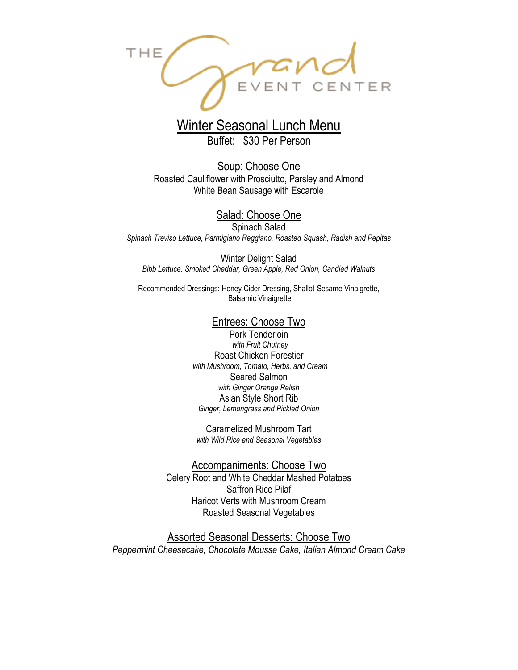

### Winter Seasonal Lunch Menu Buffet: \$30 Per Person

Soup: Choose One Roasted Cauliflower with Prosciutto, Parsley and Almond White Bean Sausage with Escarole

#### Salad: Choose One

Spinach Salad *Spinach Treviso Lettuce, Parmigiano Reggiano, Roasted Squash, Radish and Pepitas*

Winter Delight Salad *Bibb Lettuce, Smoked Cheddar, Green Apple, Red Onion, Candied Walnuts*

Recommended Dressings: Honey Cider Dressing, Shallot-Sesame Vinaigrette, Balsamic Vinaigrette

#### Entrees: Choose Two

Pork Tenderloin *with Fruit Chutney* Roast Chicken Forestier *with Mushroom, Tomato, Herbs, and Cream*  Seared Salmon *with Ginger Orange Relish* Asian Style Short Rib *Ginger, Lemongrass and Pickled Onion* 

Caramelized Mushroom Tart *with Wild Rice and Seasonal Vegetables*

Accompaniments: Choose Two Celery Root and White Cheddar Mashed Potatoes Saffron Rice Pilaf Haricot Verts with Mushroom Cream Roasted Seasonal Vegetables

Assorted Seasonal Desserts: Choose Two *Peppermint Cheesecake, Chocolate Mousse Cake, Italian Almond Cream Cake*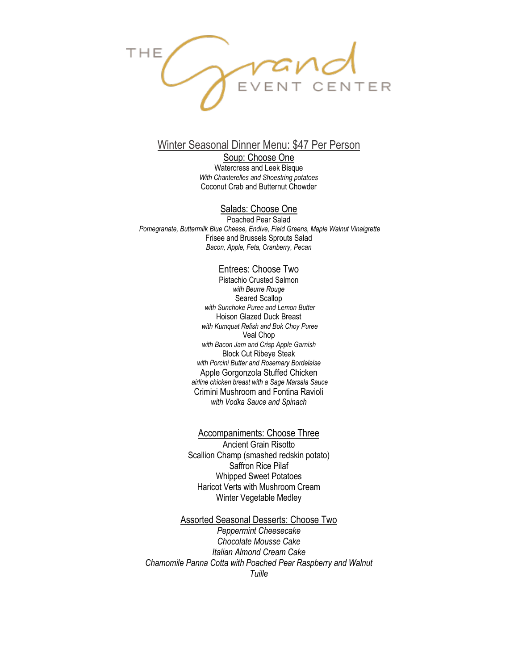

#### Winter Seasonal Dinner Menu: \$47 Per Person

Soup: Choose One Watercress and Leek Bisque *With Chanterelles and Shoestring potatoes* Coconut Crab and Butternut Chowder

#### Salads: Choose One

Poached Pear Salad *Pomegranate, Buttermilk Blue Cheese, Endive, Field Greens, Maple Walnut Vinaigrette* Frisee and Brussels Sprouts Salad *Bacon, Apple, Feta, Cranberry, Pecan*

#### Entrees: Choose Two

Pistachio Crusted Salmon *with Beurre Rouge* Seared Scallop *with Sunchoke Puree and Lemon Butter* Hoison Glazed Duck Breast *with Kumquat Relish and Bok Choy Puree* Veal Chop *with Bacon Jam and Crisp Apple Garnish*  Block Cut Ribeye Steak *with Porcini Butter and Rosemary Bordelaise* Apple Gorgonzola Stuffed Chicken *airline chicken breast with a Sage Marsala Sauce* Crimini Mushroom and Fontina Ravioli *with Vodka Sauce and Spinach*

#### Accompaniments: Choose Three

Ancient Grain Risotto Scallion Champ (smashed redskin potato) Saffron Rice Pilaf Whipped Sweet Potatoes Haricot Verts with Mushroom Cream Winter Vegetable Medley

#### Assorted Seasonal Desserts: Choose Two

*Peppermint Cheesecake Chocolate Mousse Cake Italian Almond Cream Cake Chamomile Panna Cotta with Poached Pear Raspberry and Walnut Tuille*